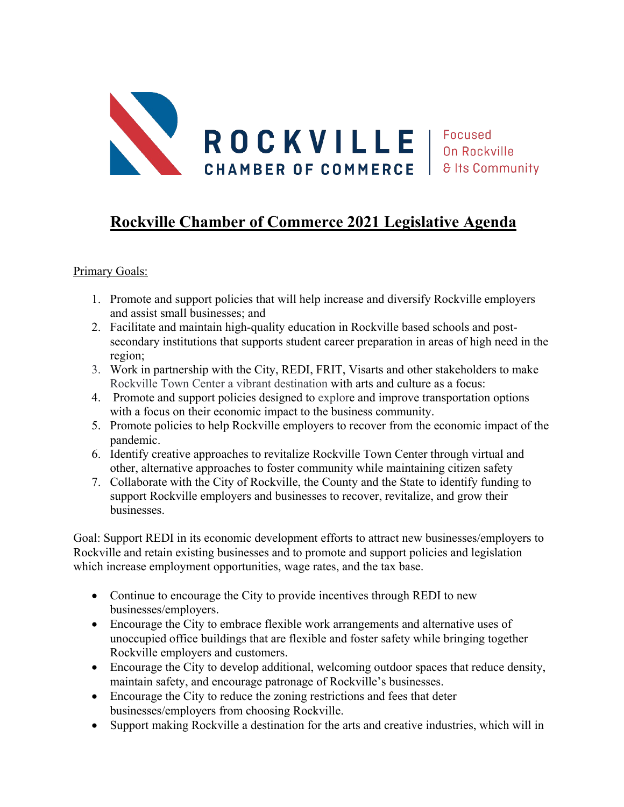

## **Rockville Chamber of Commerce 2021 Legislative Agenda**

## Primary Goals:

- 1. Promote and support policies that will help increase and diversify Rockville employers and assist small businesses; and
- 2. Facilitate and maintain high-quality education in Rockville based schools and postsecondary institutions that supports student career preparation in areas of high need in the region;
- 3. Work in partnership with the City, REDI, FRIT, Visarts and other stakeholders to make Rockville Town Center a vibrant destination with arts and culture as a focus:
- 4. Promote and support policies designed to explore and improve transportation options with a focus on their economic impact to the business community.
- 5. Promote policies to help Rockville employers to recover from the economic impact of the pandemic.
- 6. Identify creative approaches to revitalize Rockville Town Center through virtual and other, alternative approaches to foster community while maintaining citizen safety
- 7. Collaborate with the City of Rockville, the County and the State to identify funding to support Rockville employers and businesses to recover, revitalize, and grow their businesses.

Goal: Support REDI in its economic development efforts to attract new businesses/employers to Rockville and retain existing businesses and to promote and support policies and legislation which increase employment opportunities, wage rates, and the tax base.

- Continue to encourage the City to provide incentives through REDI to new businesses/employers.
- Encourage the City to embrace flexible work arrangements and alternative uses of unoccupied office buildings that are flexible and foster safety while bringing together Rockville employers and customers.
- Encourage the City to develop additional, welcoming outdoor spaces that reduce density, maintain safety, and encourage patronage of Rockville's businesses.
- Encourage the City to reduce the zoning restrictions and fees that deter businesses/employers from choosing Rockville.
- Support making Rockville a destination for the arts and creative industries, which will in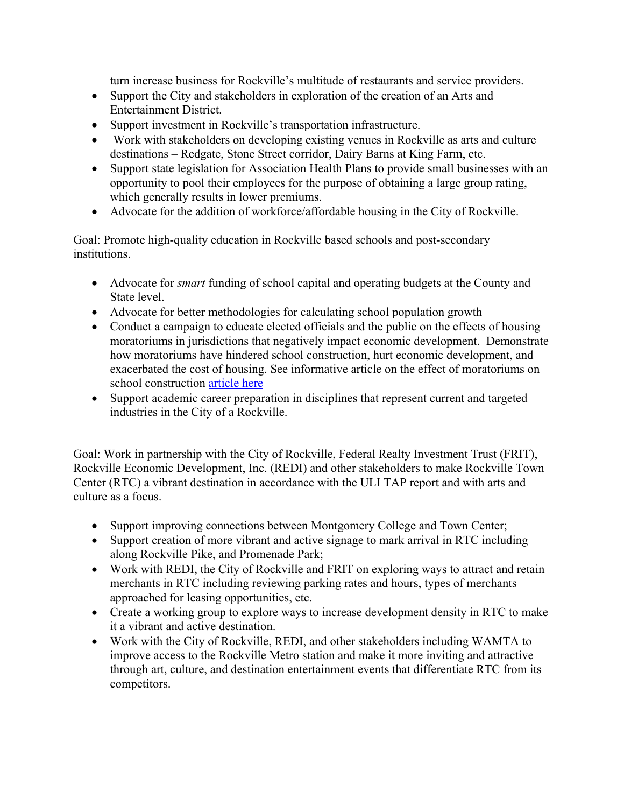turn increase business for Rockville's multitude of restaurants and service providers.

- Support the City and stakeholders in exploration of the creation of an Arts and Entertainment District.
- Support investment in Rockville's transportation infrastructure.
- Work with stakeholders on developing existing venues in Rockville as arts and culture destinations – Redgate, Stone Street corridor, Dairy Barns at King Farm, etc.
- Support state legislation for Association Health Plans to provide small businesses with an opportunity to pool their employees for the purpose of obtaining a large group rating, which generally results in lower premiums.
- Advocate for the addition of workforce/affordable housing in the City of Rockville.

Goal: Promote high-quality education in Rockville based schools and post-secondary institutions.

- Advocate for *smart* funding of school capital and operating budgets at the County and State level.
- Advocate for better methodologies for calculating school population growth
- Conduct a campaign to educate elected officials and the public on the effects of housing moratoriums in jurisdictions that negatively impact economic development. Demonstrate how moratoriums have hindered school construction, hurt economic development, and exacerbated the cost of housing. See informative article on the effect of moratoriums on school construction [article here](http://www.theseventhstate.com/?p=12265)
- Support academic career preparation in disciplines that represent current and targeted industries in the City of a Rockville.

Goal: Work in partnership with the City of Rockville, Federal Realty Investment Trust (FRIT), Rockville Economic Development, Inc. (REDI) and other stakeholders to make Rockville Town Center (RTC) a vibrant destination in accordance with the ULI TAP report and with arts and culture as a focus.

- Support improving connections between Montgomery College and Town Center;
- Support creation of more vibrant and active signage to mark arrival in RTC including along Rockville Pike, and Promenade Park;
- Work with REDI, the City of Rockville and FRIT on exploring ways to attract and retain merchants in RTC including reviewing parking rates and hours, types of merchants approached for leasing opportunities, etc.
- Create a working group to explore ways to increase development density in RTC to make it a vibrant and active destination.
- Work with the City of Rockville, REDI, and other stakeholders including WAMTA to improve access to the Rockville Metro station and make it more inviting and attractive through art, culture, and destination entertainment events that differentiate RTC from its competitors.